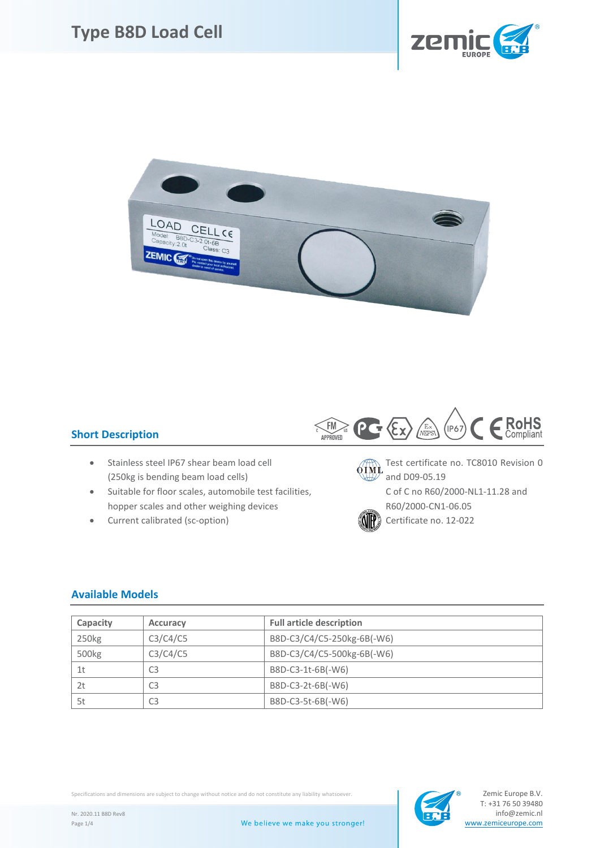



## **Short Description**

- (250kg is bending beam load cells) and D09-05.19
- Suitable for floor scales, automobile test facilities, C of C no R60/2000-NL1-11.28 and hopper scales and other weighing devices R60/2000-CN1-06.05
- Current calibrated (sc-option)  $\ddot{\ddot{\theta}}$  Certificate no. 12-022



• Stainless steel IP67 shear beam load cell  $\overbrace{0 \text{TM}}$  Test certificate no. TC8010 Revision 0



#### **Available Models**

| Capacity       | <b>Accuracy</b> | <b>Full article description</b> |  |  |  |  |  |
|----------------|-----------------|---------------------------------|--|--|--|--|--|
| 250kg          | C3/C4/C5        | B8D-C3/C4/C5-250kg-6B(-W6)      |  |  |  |  |  |
| 500kg          | C3/C4/C5        | B8D-C3/C4/C5-500kg-6B(-W6)      |  |  |  |  |  |
| 1 <sub>t</sub> | C <sub>3</sub>  | B8D-C3-1t-6B(-W6)               |  |  |  |  |  |
| 2t             | C <sub>3</sub>  | B8D-C3-2t-6B(-W6)               |  |  |  |  |  |
| 5t             | CЗ              | B8D-C3-5t-6B(-W6)               |  |  |  |  |  |

Specifications and dimensions are subject to change without notice and do not constitute any liability whatsoever.

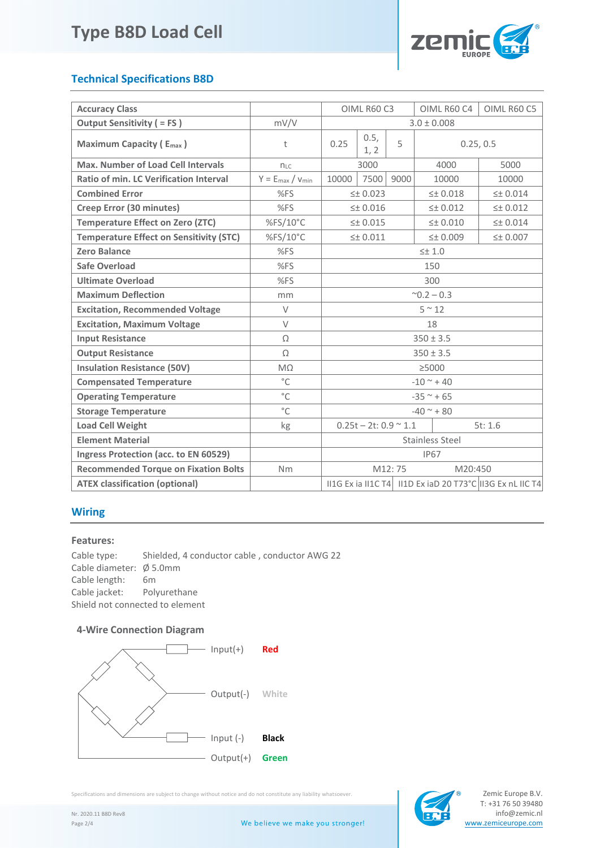

## **Technical Specifications B8D**

| <b>Accuracy Class</b>                          |                         | OIML R60 C3                                 |                   |                    | OIML R60 C4        | OIML R60 C5                                               |  |
|------------------------------------------------|-------------------------|---------------------------------------------|-------------------|--------------------|--------------------|-----------------------------------------------------------|--|
| <b>Output Sensitivity ( = FS)</b>              | mV/V                    | $3.0 \pm 0.008$                             |                   |                    |                    |                                                           |  |
| <b>Maximum Capacity (Emax)</b>                 | t                       | 0.5,<br>5<br>0.25<br>1, 2                   |                   | 0.25, 0.5          |                    |                                                           |  |
| <b>Max. Number of Load Cell Intervals</b>      | $n_{LC}$                | 3000                                        |                   | 4000               | 5000               |                                                           |  |
| Ratio of min. LC Verification Interval         | $Y = E_{max} / V_{min}$ | 10000                                       | 7500              | 9000               | 10000              | 10000                                                     |  |
| <b>Combined Error</b>                          | %FS                     | $\leq$ $\pm$ 0.023                          |                   |                    | $\leq$ $\pm$ 0.018 | $\leq$ $\pm$ 0.014                                        |  |
| Creep Error (30 minutes)                       | %FS                     | $\leq$ $+$ 0.016                            |                   | $\leq$ $\pm$ 0.012 | $\leq$ $\pm$ 0.012 |                                                           |  |
| <b>Temperature Effect on Zero (ZTC)</b>        | %FS/10°C                | $\leq$ 0.015                                |                   |                    | $\leq$ $\pm$ 0.010 | $\leq$ $\pm$ 0.014                                        |  |
| <b>Temperature Effect on Sensitivity (STC)</b> | %FS/10°C                | $\leq$ $\pm$ 0.011                          |                   |                    | 50.009             | $\leq$ $\pm$ 0.007                                        |  |
| <b>Zero Balance</b>                            | %FS                     | $\leq\pm 1.0$                               |                   |                    |                    |                                                           |  |
| Safe Overload                                  | %FS                     | 150                                         |                   |                    |                    |                                                           |  |
| <b>Ultimate Overload</b>                       | %FS                     | 300                                         |                   |                    |                    |                                                           |  |
| <b>Maximum Deflection</b>                      | mm                      | $^{\sim}$ 0.2 – 0.3                         |                   |                    |                    |                                                           |  |
| <b>Excitation, Recommended Voltage</b>         | $\vee$                  | $5~^{\sim}~12$                              |                   |                    |                    |                                                           |  |
| <b>Excitation, Maximum Voltage</b>             | $\vee$                  | 18                                          |                   |                    |                    |                                                           |  |
| <b>Input Resistance</b>                        | Ω                       | $350 \pm 3.5$                               |                   |                    |                    |                                                           |  |
| <b>Output Resistance</b>                       | Ω                       | $350 \pm 3.5$                               |                   |                    |                    |                                                           |  |
| <b>Insulation Resistance (50V)</b>             | $M\Omega$               | >5000                                       |                   |                    |                    |                                                           |  |
| <b>Compensated Temperature</b>                 | $^{\circ}$ C            | $-10$ ~ + 40                                |                   |                    |                    |                                                           |  |
| <b>Operating Temperature</b>                   | $^{\circ}$ C            | $-35$ ~ + 65                                |                   |                    |                    |                                                           |  |
| <b>Storage Temperature</b>                     | $^{\circ}$ C            | $-40$ ~ + 80                                |                   |                    |                    |                                                           |  |
| <b>Load Cell Weight</b>                        | kg                      | $0.25t - 2t$ : 0.9 $\approx$ 1.1<br>5t: 1.6 |                   |                    |                    |                                                           |  |
| <b>Element Material</b>                        |                         |                                             | Stainless Steel   |                    |                    |                                                           |  |
| Ingress Protection (acc. to EN 60529)          |                         |                                             | <b>IP67</b>       |                    |                    |                                                           |  |
| <b>Recommended Torque on Fixation Bolts</b>    | Nm                      |                                             | M12:75<br>M20:450 |                    |                    |                                                           |  |
| <b>ATEX classification (optional)</b>          |                         |                                             |                   |                    |                    | II1G Ex ia II1C T4 II1D Ex iaD 20 T73°C II3G Ex nL IIC T4 |  |

## **Wiring**

#### **Features:**

Cable type: Shielded, 4 conductor cable , conductor AWG 22 Cable diameter: Ø 5.0mm Cable length: 6m Cable jacket: Polyurethane Shield not connected to element

#### **4-Wire Connection Diagram**



Specifications and dimensions are subject to change without notice and do not constitute any liability whatsoever.

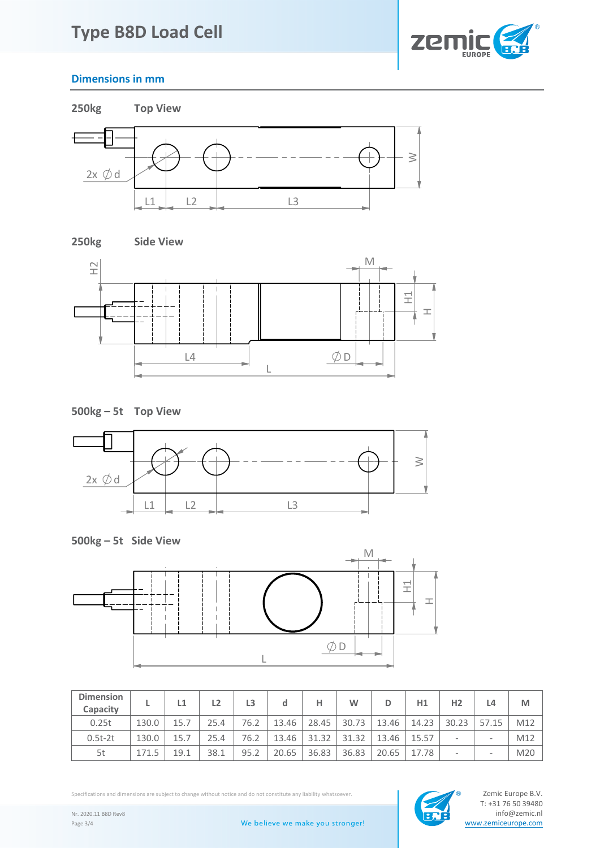# **Type B8D Load Cell**



## **Dimensions in mm**















| <b>Dimension</b><br>Capacity |       | L1   | L <sub>2</sub> | L3   | d     | н     | W     | D     | H1    | H <sub>2</sub>               | L4                              | M   |
|------------------------------|-------|------|----------------|------|-------|-------|-------|-------|-------|------------------------------|---------------------------------|-----|
| 0.25t                        | 130.0 | 15.7 | 25.4           | 76.2 | 13.46 | 28.45 | 30.73 | 13.46 | 14.23 | 30.23                        | 57.15                           | M12 |
| $0.5t-2t$                    | 130.0 | 15.7 | 25.4           | 76.2 | 13.46 | 31.32 | 31.32 | 13.46 | 15.57 | $\qquad \qquad \blacksquare$ | $\hspace{0.1mm}-\hspace{0.1mm}$ | M12 |
| 5t                           | 171.5 | 19.1 | 38.1           | 95.2 | 20.65 | 36.83 | 36.83 | 20.65 | 17.78 | $\qquad \qquad \blacksquare$ | -                               | M20 |

Specifications and dimensions are subject to change without notice and do not constitute any liability whatsoever.<br>T: +31 76 50 39480